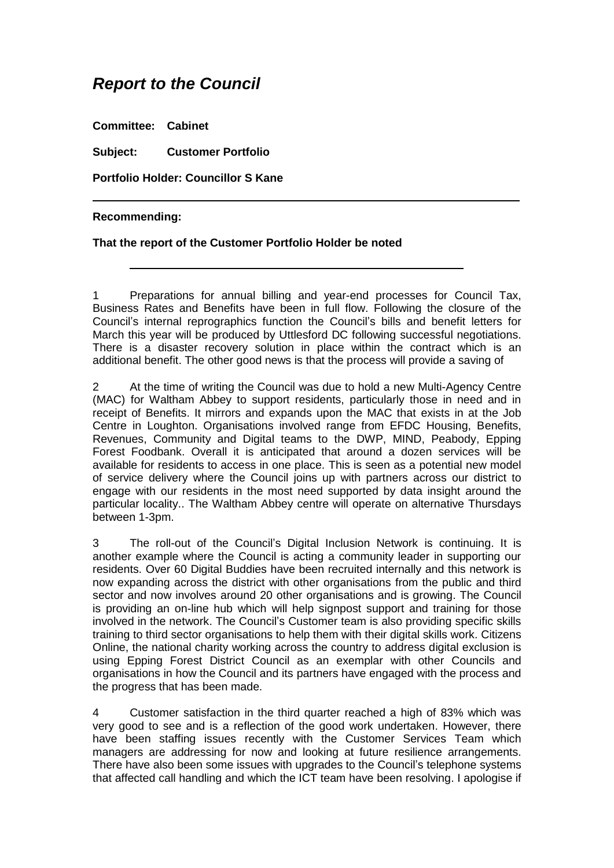## *Report to the Council*

**Committee: Cabinet**

**Subject: Customer Portfolio**

**Portfolio Holder: Councillor S Kane**

## **Recommending:**

## **That the report of the Customer Portfolio Holder be noted**

1 Preparations for annual billing and year-end processes for Council Tax, Business Rates and Benefits have been in full flow. Following the closure of the Council's internal reprographics function the Council's bills and benefit letters for March this year will be produced by Uttlesford DC following successful negotiations. There is a disaster recovery solution in place within the contract which is an additional benefit. The other good news is that the process will provide a saving of

2 At the time of writing the Council was due to hold a new Multi-Agency Centre (MAC) for Waltham Abbey to support residents, particularly those in need and in receipt of Benefits. It mirrors and expands upon the MAC that exists in at the Job Centre in Loughton. Organisations involved range from EFDC Housing, Benefits, Revenues, Community and Digital teams to the DWP, MIND, Peabody, Epping Forest Foodbank. Overall it is anticipated that around a dozen services will be available for residents to access in one place. This is seen as a potential new model of service delivery where the Council joins up with partners across our district to engage with our residents in the most need supported by data insight around the particular locality.. The Waltham Abbey centre will operate on alternative Thursdays between 1-3pm.

3 The roll-out of the Council's Digital Inclusion Network is continuing. It is another example where the Council is acting a community leader in supporting our residents. Over 60 Digital Buddies have been recruited internally and this network is now expanding across the district with other organisations from the public and third sector and now involves around 20 other organisations and is growing. The Council is providing an on-line hub which will help signpost support and training for those involved in the network. The Council's Customer team is also providing specific skills training to third sector organisations to help them with their digital skills work. Citizens Online, the national charity working across the country to address digital exclusion is using Epping Forest District Council as an exemplar with other Councils and organisations in how the Council and its partners have engaged with the process and the progress that has been made.

4 Customer satisfaction in the third quarter reached a high of 83% which was very good to see and is a reflection of the good work undertaken. However, there have been staffing issues recently with the Customer Services Team which managers are addressing for now and looking at future resilience arrangements. There have also been some issues with upgrades to the Council's telephone systems that affected call handling and which the ICT team have been resolving. I apologise if